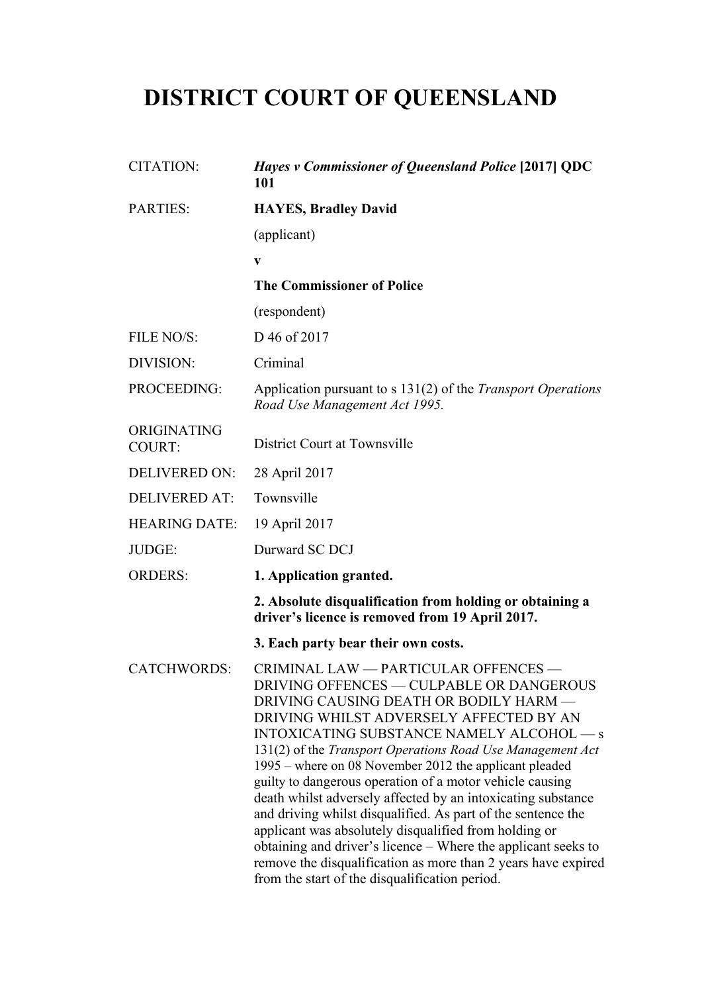# **DISTRICT COURT OF QUEENSLAND**

| <b>CITATION:</b>             | <i>Hayes v Commissioner of Queensland Police</i> [2017] QDC<br>101                                                                                                                                                                                                                                                                                                                                                                                                                                                                                                                                                                                                                                                                                                                  |
|------------------------------|-------------------------------------------------------------------------------------------------------------------------------------------------------------------------------------------------------------------------------------------------------------------------------------------------------------------------------------------------------------------------------------------------------------------------------------------------------------------------------------------------------------------------------------------------------------------------------------------------------------------------------------------------------------------------------------------------------------------------------------------------------------------------------------|
| <b>PARTIES:</b>              | <b>HAYES, Bradley David</b>                                                                                                                                                                                                                                                                                                                                                                                                                                                                                                                                                                                                                                                                                                                                                         |
|                              | (applicant)                                                                                                                                                                                                                                                                                                                                                                                                                                                                                                                                                                                                                                                                                                                                                                         |
|                              | $\mathbf{V}$                                                                                                                                                                                                                                                                                                                                                                                                                                                                                                                                                                                                                                                                                                                                                                        |
|                              | <b>The Commissioner of Police</b>                                                                                                                                                                                                                                                                                                                                                                                                                                                                                                                                                                                                                                                                                                                                                   |
|                              | (respondent)                                                                                                                                                                                                                                                                                                                                                                                                                                                                                                                                                                                                                                                                                                                                                                        |
| FILE NO/S:                   | D 46 of 2017                                                                                                                                                                                                                                                                                                                                                                                                                                                                                                                                                                                                                                                                                                                                                                        |
| DIVISION:                    | Criminal                                                                                                                                                                                                                                                                                                                                                                                                                                                                                                                                                                                                                                                                                                                                                                            |
| PROCEEDING:                  | Application pursuant to s 131(2) of the Transport Operations<br>Road Use Management Act 1995.                                                                                                                                                                                                                                                                                                                                                                                                                                                                                                                                                                                                                                                                                       |
| ORIGINATING<br><b>COURT:</b> | District Court at Townsville                                                                                                                                                                                                                                                                                                                                                                                                                                                                                                                                                                                                                                                                                                                                                        |
| <b>DELIVERED ON:</b>         | 28 April 2017                                                                                                                                                                                                                                                                                                                                                                                                                                                                                                                                                                                                                                                                                                                                                                       |
| <b>DELIVERED AT:</b>         | Townsville                                                                                                                                                                                                                                                                                                                                                                                                                                                                                                                                                                                                                                                                                                                                                                          |
| <b>HEARING DATE:</b>         | 19 April 2017                                                                                                                                                                                                                                                                                                                                                                                                                                                                                                                                                                                                                                                                                                                                                                       |
| JUDGE:                       | Durward SC DCJ                                                                                                                                                                                                                                                                                                                                                                                                                                                                                                                                                                                                                                                                                                                                                                      |
| <b>ORDERS:</b>               | 1. Application granted.                                                                                                                                                                                                                                                                                                                                                                                                                                                                                                                                                                                                                                                                                                                                                             |
|                              | 2. Absolute disqualification from holding or obtaining a<br>driver's licence is removed from 19 April 2017.                                                                                                                                                                                                                                                                                                                                                                                                                                                                                                                                                                                                                                                                         |
|                              | 3. Each party bear their own costs.                                                                                                                                                                                                                                                                                                                                                                                                                                                                                                                                                                                                                                                                                                                                                 |
| <b>CATCHWORDS:</b>           | CRIMINAL LAW - PARTICULAR OFFENCES -<br>DRIVING OFFENCES — CULPABLE OR DANGEROUS<br>DRIVING CAUSING DEATH OR BODILY HARM -<br>DRIVING WHILST ADVERSELY AFFECTED BY AN<br>INTOXICATING SUBSTANCE NAMELY ALCOHOL — s<br>131(2) of the Transport Operations Road Use Management Act<br>1995 – where on 08 November 2012 the applicant pleaded<br>guilty to dangerous operation of a motor vehicle causing<br>death whilst adversely affected by an intoxicating substance<br>and driving whilst disqualified. As part of the sentence the<br>applicant was absolutely disqualified from holding or<br>obtaining and driver's licence – Where the applicant seeks to<br>remove the disqualification as more than 2 years have expired<br>from the start of the disqualification period. |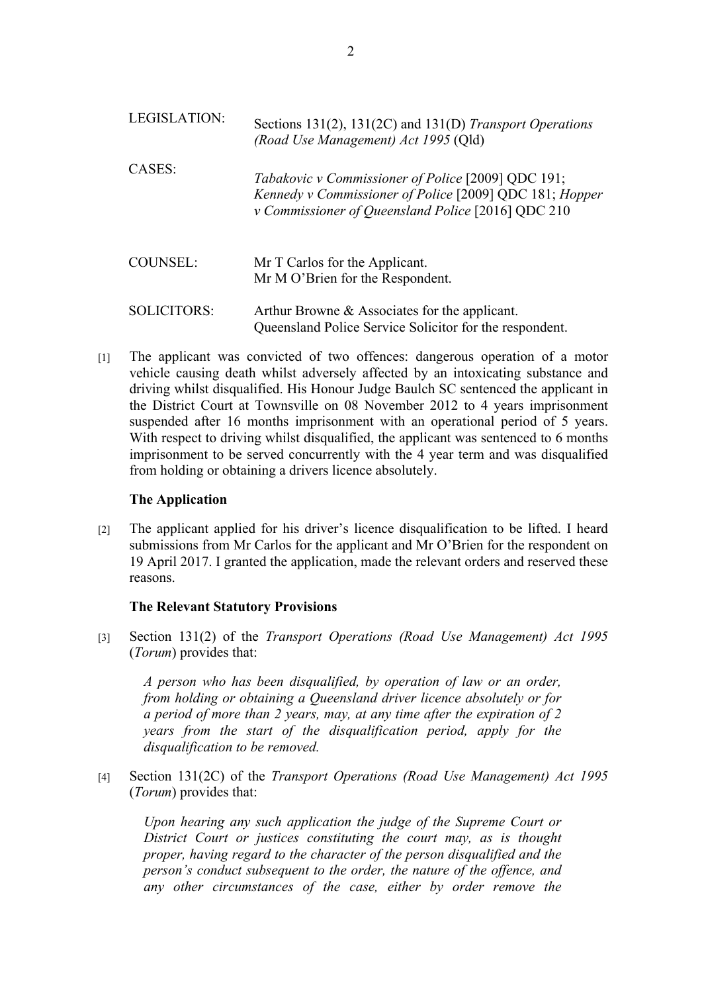| <b>LEGISLATION:</b> | Sections 131(2), 131(2C) and 131(D) Transport Operations<br>(Road Use Management) Act 1995 (Qld)                                                                    |
|---------------------|---------------------------------------------------------------------------------------------------------------------------------------------------------------------|
| CASES:              | Tabakovic v Commissioner of Police [2009] QDC 191;<br>Kennedy v Commissioner of Police [2009] QDC 181; Hopper<br>v Commissioner of Queensland Police [2016] QDC 210 |
| COUNSEL:            | Mr T Carlos for the Applicant.<br>Mr M O'Brien for the Respondent.                                                                                                  |
| <b>SOLICITORS:</b>  | Arthur Browne & Associates for the applicant.<br>Queensland Police Service Solicitor for the respondent.                                                            |

[1] The applicant was convicted of two offences: dangerous operation of a motor vehicle causing death whilst adversely affected by an intoxicating substance and driving whilst disqualified. His Honour Judge Baulch SC sentenced the applicant in the District Court at Townsville on 08 November 2012 to 4 years imprisonment suspended after 16 months imprisonment with an operational period of 5 years. With respect to driving whilst disqualified, the applicant was sentenced to 6 months imprisonment to be served concurrently with the 4 year term and was disqualified from holding or obtaining a drivers licence absolutely.

#### **The Application**

[2] The applicant applied for his driver's licence disqualification to be lifted. I heard submissions from Mr Carlos for the applicant and Mr O'Brien for the respondent on 19 April 2017. I granted the application, made the relevant orders and reserved these reasons.

#### **The Relevant Statutory Provisions**

[3] Section 131(2) of the *Transport Operations (Road Use Management) Act 1995*  (*Torum*) provides that:

*A person who has been disqualified, by operation of law or an order, from holding or obtaining a Queensland driver licence absolutely or for a period of more than 2 years, may, at any time after the expiration of 2 years from the start of the disqualification period, apply for the disqualification to be removed.*

[4] Section 131(2C) of the *Transport Operations (Road Use Management) Act 1995*  (*Torum*) provides that:

*Upon hearing any such application the judge of the Supreme Court or District Court or justices constituting the court may, as is thought proper, having regard to the character of the person disqualified and the person's conduct subsequent to the order, the nature of the offence, and any other circumstances of the case, either by order remove the*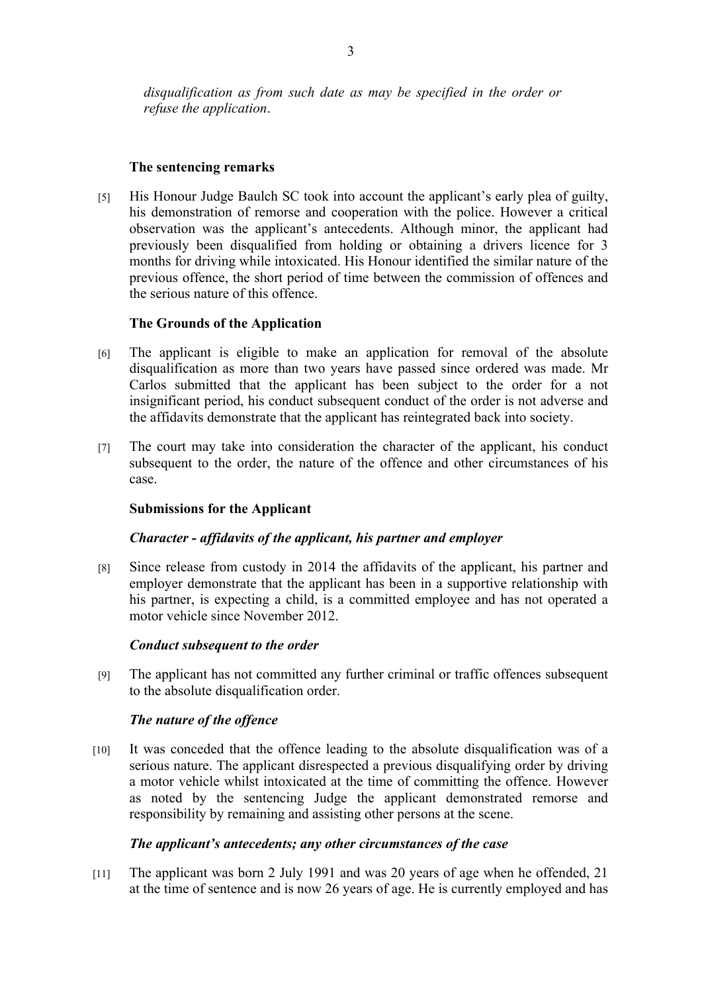## **The sentencing remarks**

[5] His Honour Judge Baulch SC took into account the applicant's early plea of guilty, his demonstration of remorse and cooperation with the police. However a critical observation was the applicant's antecedents. Although minor, the applicant had previously been disqualified from holding or obtaining a drivers licence for 3 months for driving while intoxicated. His Honour identified the similar nature of the previous offence, the short period of time between the commission of offences and the serious nature of this offence.

## **The Grounds of the Application**

- [6] The applicant is eligible to make an application for removal of the absolute disqualification as more than two years have passed since ordered was made. Mr Carlos submitted that the applicant has been subject to the order for a not insignificant period, his conduct subsequent conduct of the order is not adverse and the affidavits demonstrate that the applicant has reintegrated back into society.
- [7] The court may take into consideration the character of the applicant, his conduct subsequent to the order, the nature of the offence and other circumstances of his case.

#### **Submissions for the Applicant**

## *Character - affidavits of the applicant, his partner and employer*

[8] Since release from custody in 2014 the affidavits of the applicant, his partner and employer demonstrate that the applicant has been in a supportive relationship with his partner, is expecting a child, is a committed employee and has not operated a motor vehicle since November 2012.

#### *Conduct subsequent to the order*

[9] The applicant has not committed any further criminal or traffic offences subsequent to the absolute disqualification order.

# *The nature of the offence*

[10] It was conceded that the offence leading to the absolute disqualification was of a serious nature. The applicant disrespected a previous disqualifying order by driving a motor vehicle whilst intoxicated at the time of committing the offence. However as noted by the sentencing Judge the applicant demonstrated remorse and responsibility by remaining and assisting other persons at the scene.

#### *The applicant's antecedents; any other circumstances of the case*

[11] The applicant was born 2 July 1991 and was 20 years of age when he offended, 21 at the time of sentence and is now 26 years of age. He is currently employed and has